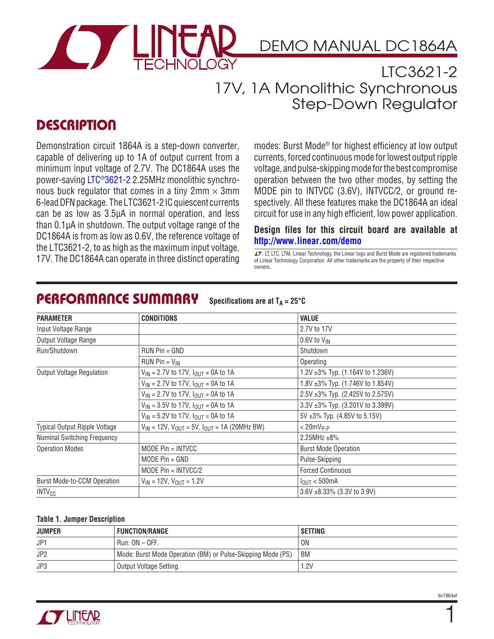

DEMO MANUAL DC1864A

### LTC3621-2 17V, 1A Monolithic Synchronous Step-Down Regulator

## **DESCRIPTION**

Demonstration circuit 1864A is a step-down converter, capable of delivering up to 1A of output current from a minimum input voltage of 2.7V. The DC1864A uses the power-saving [LTC®3621-2](http://www.linear.com/LTC3621-2) 2.25MHz monolithic synchronous buck regulator that comes in a tiny  $2mm \times 3mm$ 6-lead DFN package. The LTC3621-2 IC quiescent currents can be as low as 3.5µA in normal operation, and less than 0.1µA in shutdown. The output voltage range of the DC1864A is from as low as 0.6V, the reference voltage of the LTC3621-2, to as high as the maximum input voltage, 17V. The DC1864A can operate in three distinct operating for the entired of Linear Technology, the Linear Idgo and Burst Mode are registered trademarks<br>17V. The DC1864A can operate in three distinct operating for Linear Te

modes: Burst Mode® for highest efficiency at low output currents, forced continuous mode for lowest output ripple voltage, and pulse-skipping mode for the best compromise operation between the two other modes, by setting the MODE pin to INTVCC (3.6V), INTVCC/2, or ground respectively. All these features make the DC1864A an ideal circuit for use in any high efficient, low power application.

#### **Design files for this circuit board are available at <http://www.linear.com/demo>**

of Linear Technology Corporation. All other trademarks are the property of their respective owners.

| <b>CONDITIONS</b><br><b>PARAMETER</b>                                                        |                                                                                  | <b>VALUE</b>                           |  |
|----------------------------------------------------------------------------------------------|----------------------------------------------------------------------------------|----------------------------------------|--|
| Input Voltage Range                                                                          |                                                                                  | 2.7V to 17V                            |  |
| Output Voltage Range                                                                         |                                                                                  | $0.6V$ to $V_{IN}$                     |  |
| Run/Shutdown                                                                                 | $RUN Pin = GND$                                                                  | Shutdown                               |  |
|                                                                                              | $RUN Pin = V_{IN}$                                                               | Operating                              |  |
| <b>Output Voltage Regulation</b>                                                             | $V_{IN}$ = 2.7V to 17V, $I_{OUT}$ = 0A to 1A                                     | 1.2V $\pm 3\%$ Typ. (1.164V to 1.236V) |  |
|                                                                                              | $V_{IN}$ = 2.7V to 17V, $I_{OUT}$ = 0A to 1A                                     | 1.8V $\pm 3\%$ Typ. (1.746V to 1.854V) |  |
|                                                                                              | $V_{IN}$ = 2.7V to 17V, $I_{OUT}$ = 0A to 1A                                     | 2.5V ±3% Typ. (2.425V to 2.575V)       |  |
|                                                                                              | $V_{IN}$ = 3.5V to 17V, $I_{OUT}$ = 0A to 1A<br>3.3V ±3% Typ. (3.201V to 3.399V) |                                        |  |
|                                                                                              | $V_{IN}$ = 5.2V to 17V, $I_{OUT}$ = 0A to 1A                                     | 5V ±3% Typ. (4.85V to 5.15V)           |  |
| $V_{IN}$ = 12V, $V_{OUIT}$ = 5V, $I_{OUIT}$ = 1A (20MHz BW)<br>Typical Output Ripple Voltage |                                                                                  | $< 20$ m $V_{P-P}$                     |  |
| Nominal Switching Frequency                                                                  |                                                                                  | $2.25$ MHz $\pm 8\%$                   |  |
| <b>Operation Modes</b>                                                                       | MODE $Pin = INTVCC$<br><b>Burst Mode Operation</b>                               |                                        |  |
|                                                                                              | MODE $Pin = GND$                                                                 | Pulse-Skipping                         |  |
|                                                                                              | MODE $Pin = INTVCC/2$                                                            | <b>Forced Continuous</b>               |  |
| <b>Burst Mode-to-CCM Operation</b><br>$V_{IN}$ = 12V, $V_{OUIT}$ = 1.2V                      |                                                                                  | $I_{\text{OUT}} < 500 \text{mA}$       |  |
| <b>INTV<sub>CC</sub></b>                                                                     |                                                                                  | $3.6V + 8.33\%$ (3.3V to 3.9V)         |  |

#### PERFORMANCE SUMMARY Specifications are at  $T_A = 25^{\circ}C$

#### **Table 1. Jumper Description**

| <b>JUMPER</b>   | <b>FUNCTION/RANGE</b>                                       | SETTING        |
|-----------------|-------------------------------------------------------------|----------------|
| JP1             | $Run: ON - OFF.$                                            | 0 <sub>N</sub> |
| JP <sub>2</sub> | Mode: Burst Mode Operation (BM) or Pulse-Skipping Mode (PS) | BM             |
| JP3             | Output Voltage Setting.                                     | .2V            |



1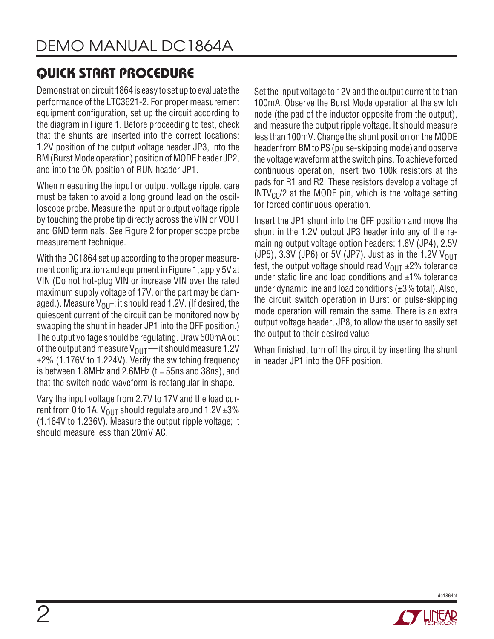Demonstration circuit 1864 is easy to set up to evaluate the performance of the LTC3621-2. For proper measurement equipment configuration, set up the circuit according to the diagram in Figure 1. Before proceeding to test, check that the shunts are inserted into the correct locations: 1.2V position of the output voltage header JP3, into the BM (Burst Mode operation) position of MODE header JP2, and into the ON position of RUN header JP1.

When measuring the input or output voltage ripple, care must be taken to avoid a long ground lead on the oscilloscope probe. Measure the input or output voltage ripple by touching the probe tip directly across the VIN or VOUT and GND terminals. See Figure 2 for proper scope probe measurement technique.

With the DC1864 set up according to the proper measurement configuration and equipment in Figure 1, apply 5V at VIN (Do not hot-plug VIN or increase VIN over the rated maximum supply voltage of 17V, or the part may be damaged.). Measure  $V_{\text{OUT}}$ ; it should read 1.2V. (If desired, the quiescent current of the circuit can be monitored now by swapping the shunt in header JP1 into the OFF position.) The output voltage should be regulating. Draw 500mA out of the output and measure  $V_{\text{OUT}}$  — it should measure 1.2V ±2% (1.176V to 1.224V). Verify the switching frequency is between 1.8MHz and 2.6MHz  $(t = 55$ ns and 38ns), and that the switch node waveform is rectangular in shape.

Vary the input voltage from 2.7V to 17V and the load current from 0 to 1A.  $V_{OIII}$  should regulate around 1.2V  $\pm 3\%$ (1.164V to 1.236V). Measure the output ripple voltage; it should measure less than 20mV AC.

Set the input voltage to 12V and the output current to than 100mA. Observe the Burst Mode operation at the switch node (the pad of the inductor opposite from the output), and measure the output ripple voltage. It should measure less than 100mV. Change the shunt position on the MODE header from BM to PS (pulse-skipping mode) and observe the voltage waveform at the switch pins. To achieve forced continuous operation, insert two 100k resistors at the pads for R1 and R2. These resistors develop a voltage of  $INTV<sub>CC</sub>/2$  at the MODE pin, which is the voltage setting for forced continuous operation.

Insert the JP1 shunt into the OFF position and move the shunt in the 1.2V output JP3 header into any of the remaining output voltage option headers: 1.8V (JP4), 2.5V (JP5), 3.3V (JP6) or 5V (JP7). Just as in the 1.2V  $V_{OIII}$ test, the output voltage should read  $V_{\text{OUT}}$   $\pm$ 2% tolerance under static line and load conditions and  $\pm 1\%$  tolerance under dynamic line and load conditions (±3% total). Also, the circuit switch operation in Burst or pulse-skipping mode operation will remain the same. There is an extra output voltage header, JP8, to allow the user to easily set the output to their desired value

When finished, turn off the circuit by inserting the shunt in header JP1 into the OFF position.



dc1864af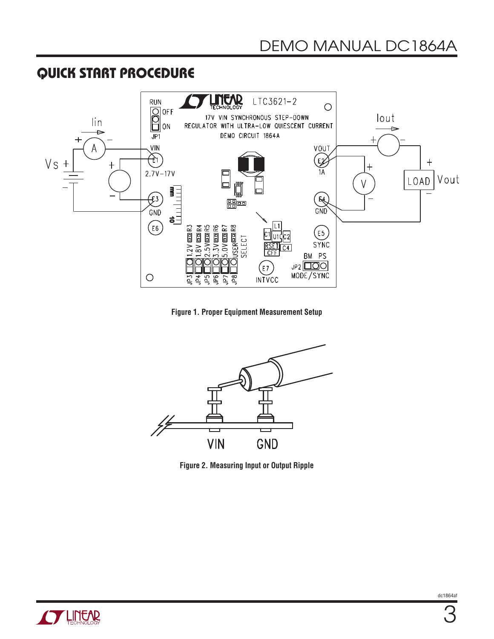

**Figure 1. Proper Equipment Measurement Setup**



**Figure 2. Measuring Input or Output Ripple**

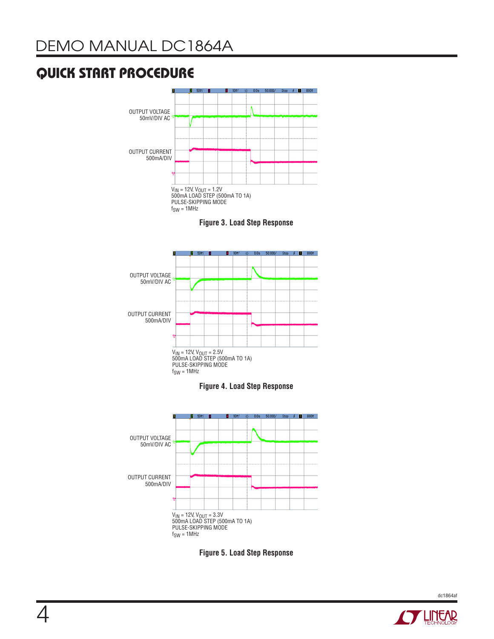

**Figure 3. Load Step Response**











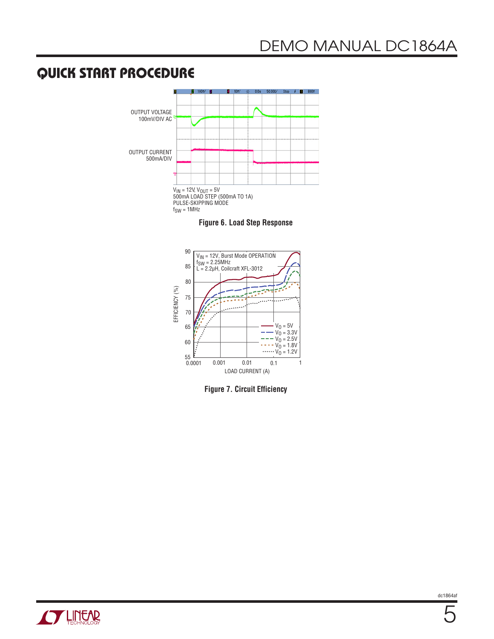

**Figure 6. Load Step Response**



**Figure 7. Circuit Efficiency**

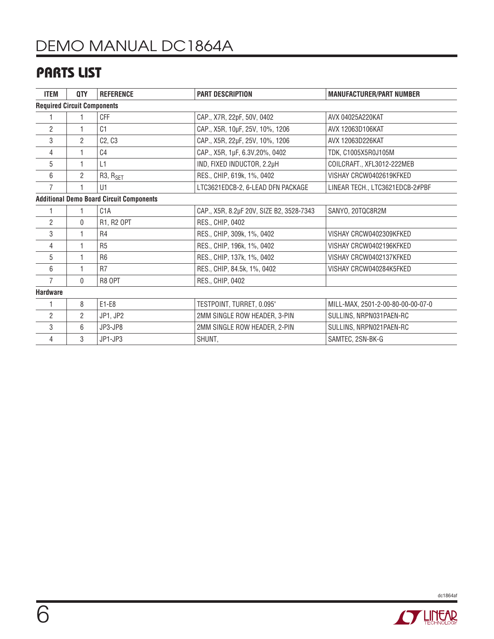# DEMO MANUAL DC1864A

## PARTS LIST

| <b>ITEM</b>                                     | QTY          | <b>REFERENCE</b>                  | <b>PART DESCRIPTION</b>                  | <b>MANUFACTURER/PART NUMBER</b>   |  |  |
|-------------------------------------------------|--------------|-----------------------------------|------------------------------------------|-----------------------------------|--|--|
| <b>Required Circuit Components</b>              |              |                                   |                                          |                                   |  |  |
|                                                 | 1            | CFF                               | CAP., X7R, 22pF, 50V, 0402               | AVX 04025A220KAT                  |  |  |
| $\overline{2}$                                  |              | C1                                | CAP., X5R, 10µF, 25V, 10%, 1206          | AVX 12063D106KAT                  |  |  |
| 3                                               | 2            | C <sub>2</sub> , C <sub>3</sub>   | CAP., X5R, 22µF, 25V, 10%, 1206          | AVX 12063D226KAT                  |  |  |
| 4                                               | 1            | C <sub>4</sub>                    | CAP., X5R, 1µF, 6.3V, 20%, 0402          | TDK, C1005X5R0J105M               |  |  |
| 5                                               | 1            | L1                                | IND, FIXED INDUCTOR, 2.2µH               | COILCRAFT., XFL3012-222MEB        |  |  |
| 6                                               | 2            | R <sub>3</sub> , R <sub>SET</sub> | RES., CHIP, 619k, 1%, 0402               | VISHAY CRCW0402619KFKED           |  |  |
| $\overline{7}$                                  | 1            | U1                                | LTC3621EDCB-2, 6-LEAD DFN PACKAGE        | LINEAR TECH., LTC3621EDCB-2#PBF   |  |  |
| <b>Additional Demo Board Circuit Components</b> |              |                                   |                                          |                                   |  |  |
|                                                 | 1.           | C <sub>1</sub> A                  | CAP., X5R, 8.2µF 20V, SIZE B2, 3528-7343 | SANYO, 20TQC8R2M                  |  |  |
| $\overline{2}$                                  | $\mathbf{0}$ | R1, R2 OPT                        | RES., CHIP, 0402                         |                                   |  |  |
| 3                                               | 1            | R <sub>4</sub>                    | RES., CHIP, 309k, 1%, 0402               | VISHAY CRCW0402309KFKED           |  |  |
| 4                                               | 1            | R <sub>5</sub>                    | RES., CHIP, 196k, 1%, 0402               | VISHAY CRCW0402196KFKED           |  |  |
| 5                                               |              | R <sub>6</sub>                    | RES., CHIP, 137k, 1%, 0402               | VISHAY CRCW0402137KFKED           |  |  |
| 6                                               | 1            | R <sub>7</sub>                    | RES., CHIP, 84.5k, 1%, 0402              | VISHAY CRCW040284K5FKED           |  |  |
| $\overline{7}$                                  | $\mathbf{0}$ | R8 OPT                            | RES., CHIP, 0402                         |                                   |  |  |
| <b>Hardware</b>                                 |              |                                   |                                          |                                   |  |  |
|                                                 | 8            | E1-E8                             | TESTPOINT, TURRET, 0.095"                | MILL-MAX, 2501-2-00-80-00-00-07-0 |  |  |
| $\overline{2}$                                  | 2            | JP1, JP2                          | 2MM SINGLE ROW HEADER, 3-PIN             | SULLINS, NRPN031PAEN-RC           |  |  |
| 3                                               | 6            | JP3-JP8                           | 2MM SINGLE ROW HEADER, 2-PIN             | SULLINS, NRPN021PAEN-RC           |  |  |
| 4                                               | 3            | JP1-JP3                           | SHUNT,                                   | SAMTEC, 2SN-BK-G                  |  |  |



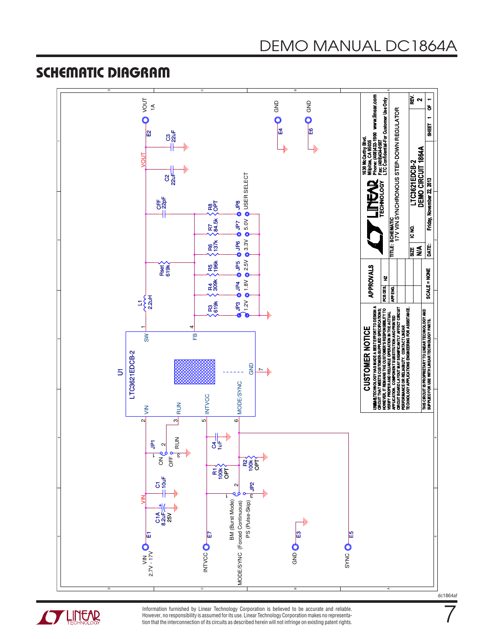#### SCHEMATIC DIAGRAM





Information furnished by Linear Technology Corporation is believed to be accurate and reliable. However, no responsibility is assumed for its use. Linear Technology Corporation makes no representation that the interconnection of its circuits as described herein will not infringe on existing patent rights. dc1864af

7